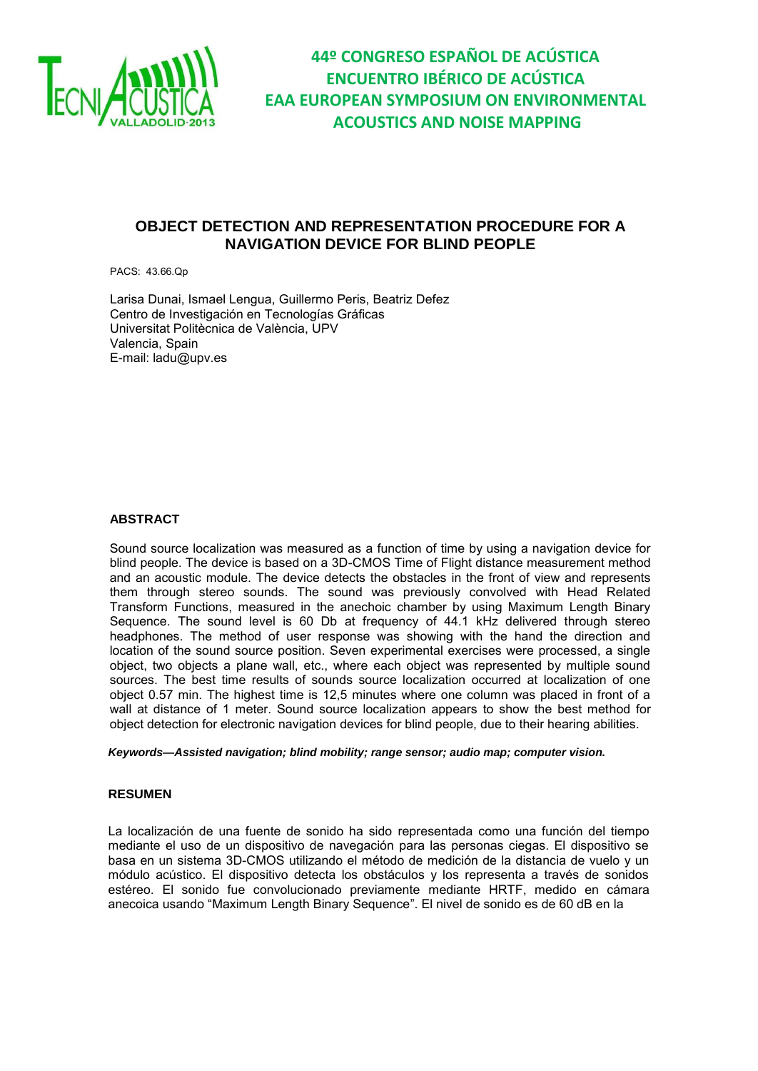

### **OBJECT DETECTION AND REPRESENTATION PROCEDURE FOR A NAVIGATION DEVICE FOR BLIND PEOPLE**

PACS: 43.66.Qp

Larisa Dunai, Ismael Lengua, Guillermo Peris, Beatriz Defez Centro de Investigación en Tecnologías Gráficas Universitat Politècnica de València, UPV Valencia, Spain E-mail: [ladu@upv.es](mailto:ladu@upv.ee)

### **ABSTRACT**

Sound source localization was measured as a function of time by using a navigation device for blind people. The device is based on a 3D-CMOS Time of Flight distance measurement method and an acoustic module. The device detects the obstacles in the front of view and represents them through stereo sounds. The sound was previously convolved with Head Related Transform Functions, measured in the anechoic chamber by using Maximum Length Binary Sequence. The sound level is 60 Db at frequency of 44.1 kHz delivered through stereo headphones. The method of user response was showing with the hand the direction and location of the sound source position. Seven experimental exercises were processed, a single object, two objects a plane wall, etc., where each object was represented by multiple sound sources. The best time results of sounds source localization occurred at localization of one object 0.57 min. The highest time is 12,5 minutes where one column was placed in front of a wall at distance of 1 meter. Sound source localization appears to show the best method for object detection for electronic navigation devices for blind people, due to their hearing abilities.

#### *Keywords—Assisted navigation; blind mobility; range sensor; audio map; computer vision.*

### **RESUMEN**

La localización de una fuente de sonido ha sido representada como una función del tiempo mediante el uso de un dispositivo de navegación para las personas ciegas. El dispositivo se basa en un sistema 3D-CMOS utilizando el método de medición de la distancia de vuelo y un módulo acústico. El dispositivo detecta los obstáculos y los representa a través de sonidos estéreo. El sonido fue convolucionado previamente mediante HRTF, medido en cámara anecoica usando "Maximum Length Binary Sequence". El nivel de sonido es de 60 dB en la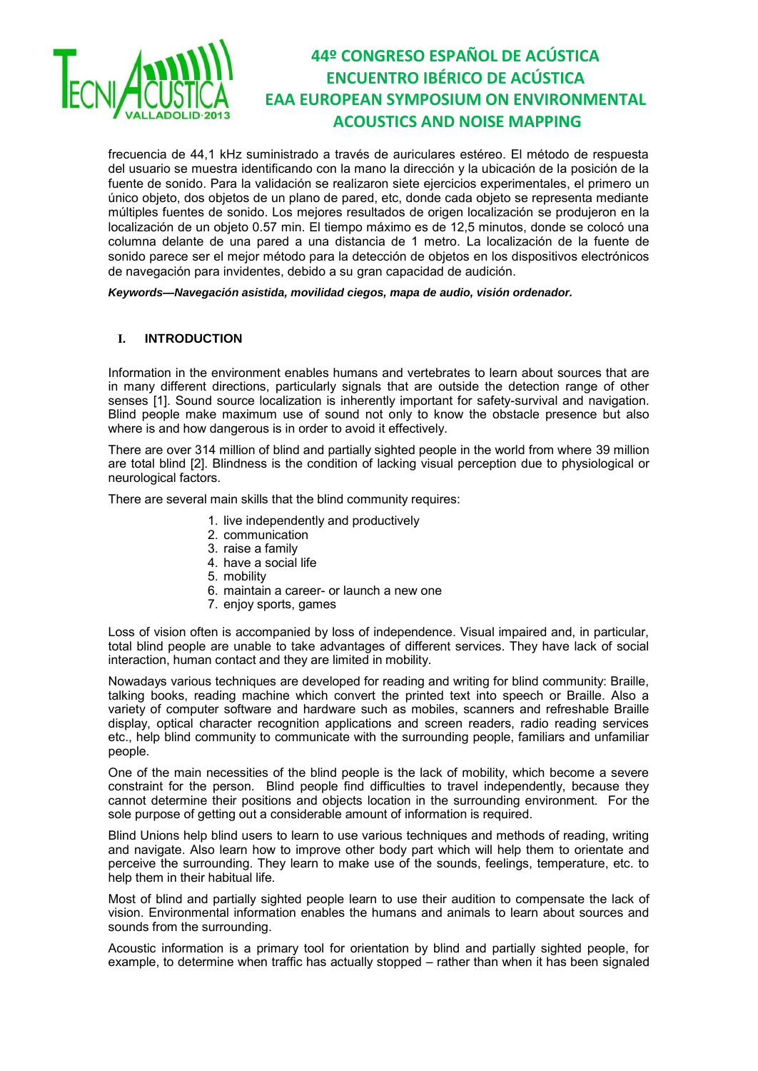

frecuencia de 44,1 kHz suministrado a través de auriculares estéreo. El método de respuesta del usuario se muestra identificando con la mano la dirección y la ubicación de la posición de la fuente de sonido. Para la validación se realizaron siete ejercicios experimentales, el primero un único objeto, dos objetos de un plano de pared, etc, donde cada objeto se representa mediante múltiples fuentes de sonido. Los mejores resultados de origen localización se produjeron en la localización de un objeto 0.57 min. El tiempo máximo es de 12,5 minutos, donde se colocó una columna delante de una pared a una distancia de 1 metro. La localización de la fuente de sonido parece ser el mejor método para la detección de objetos en los dispositivos electrónicos de navegación para invidentes, debido a su gran capacidad de audición.

### *Keywords—Navegación asistida, movilidad ciegos, mapa de audio, visión ordenador.*

### **I. INTRODUCTION**

Information in the environment enables humans and vertebrates to learn about sources that are in many different directions, particularly signals that are outside the detection range of other senses [1]. Sound source localization is inherently important for safety-survival and navigation. Blind people make maximum use of sound not only to know the obstacle presence but also where is and how dangerous is in order to avoid it effectively.

There are over 314 million of blind and partially sighted people in the world from where 39 million are total blind [2]. Blindness is the condition of lacking [visual perception](http://en.wikipedia.org/wiki/Visual_perception) due to [physiological](http://en.wikipedia.org/wiki/Physiology) or [neurological](http://en.wikipedia.org/wiki/Neurology) factors.

There are several main skills that the blind community requires:

- 1. live independently and productively
- 2. communication
- 3. raise a family
- 4. have a social life
- 5. mobility
- 6. maintain a career- or launch a new one
- 7. enjoy sports, games

Loss of vision often is accompanied by loss of independence. Visual impaired and, in particular, total blind people are unable to take advantages of different services. They have lack of social interaction, human contact and they are limited in mobility.

Nowadays various techniques are developed for reading and writing for blind community: Braille, talking books, reading machine which convert the printed text into speech or Braille. Also a variety of computer software and hardware such as mobiles, scanners and refreshable Braille display, optical character recognition applications and screen readers, radio reading services etc., help blind community to communicate with the surrounding people, familiars and unfamiliar people.

One of the main necessities of the blind people is the lack of mobility, which become a severe constraint for the person. Blind people find difficulties to travel independently, because they cannot determine their positions and objects location in the surrounding environment. For the sole purpose of getting out a considerable amount of information is required.

Blind Unions help blind users to learn to use various techniques and methods of reading, writing and navigate. Also learn how to improve other body part which will help them to orientate and perceive the surrounding. They learn to make use of the sounds, feelings, temperature, etc. to help them in their habitual life.

Most of blind and partially sighted people learn to use their audition to compensate the lack of vision. Environmental information enables the humans and animals to learn about sources and sounds from the surrounding.

Acoustic information is a primary tool for orientation by blind and partially sighted people, for example, to determine when traffic has actually stopped – rather than when it has been signaled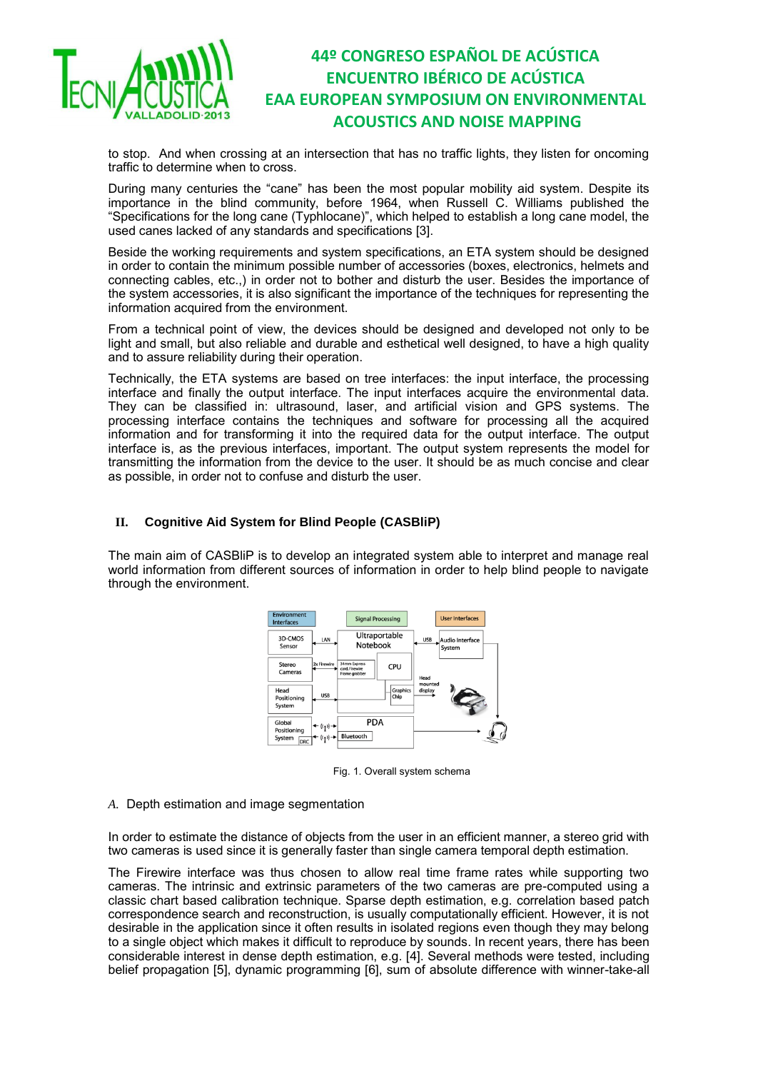

to stop. And when crossing at an intersection that has no traffic lights, they listen for oncoming traffic to determine when to cross.

During many centuries the "cane" has been the most popular mobility aid system. Despite its importance in the blind community, before 1964, when Russell C. Williams published the "Specifications for the long cane (Typhlocane)", which helped to establish a long cane model, the used canes lacked of any standards and specifications [3].

Beside the working requirements and system specifications, an ETA system should be designed in order to contain the minimum possible number of accessories (boxes, electronics, helmets and connecting cables, etc.,) in order not to bother and disturb the user. Besides the importance of the system accessories, it is also significant the importance of the techniques for representing the information acquired from the environment.

From a technical point of view, the devices should be designed and developed not only to be light and small, but also reliable and durable and esthetical well designed, to have a high quality and to assure reliability during their operation.

Technically, the ETA systems are based on tree interfaces: the input interface, the processing interface and finally the output interface. The input interfaces acquire the environmental data. They can be classified in: ultrasound, laser, and artificial vision and GPS systems. The processing interface contains the techniques and software for processing all the acquired information and for transforming it into the required data for the output interface. The output interface is, as the previous interfaces, important. The output system represents the model for transmitting the information from the device to the user. It should be as much concise and clear as possible, in order not to confuse and disturb the user.

### **II. Cognitive Aid System for Blind People (CASBliP)**

The main aim of CASBliP is to develop an integrated system able to interpret and manage real world information from different sources of information in order to help blind people to navigate through the environment.



Fig. 1. Overall system schema

### *A.* Depth estimation and image segmentation

In order to estimate the distance of objects from the user in an efficient manner, a stereo grid with two cameras is used since it is generally faster than single camera temporal depth estimation.

The Firewire interface was thus chosen to allow real time frame rates while supporting two cameras. The intrinsic and extrinsic parameters of the two cameras are pre-computed using a classic chart based calibration technique. Sparse depth estimation, e.g. correlation based patch correspondence search and reconstruction, is usually computationally efficient. However, it is not desirable in the application since it often results in isolated regions even though they may belong to a single object which makes it difficult to reproduce by sounds. In recent years, there has been considerable interest in dense depth estimation, e.g. [4]. Several methods were tested, including belief propagation [5], dynamic programming [6], sum of absolute difference with winner-take-all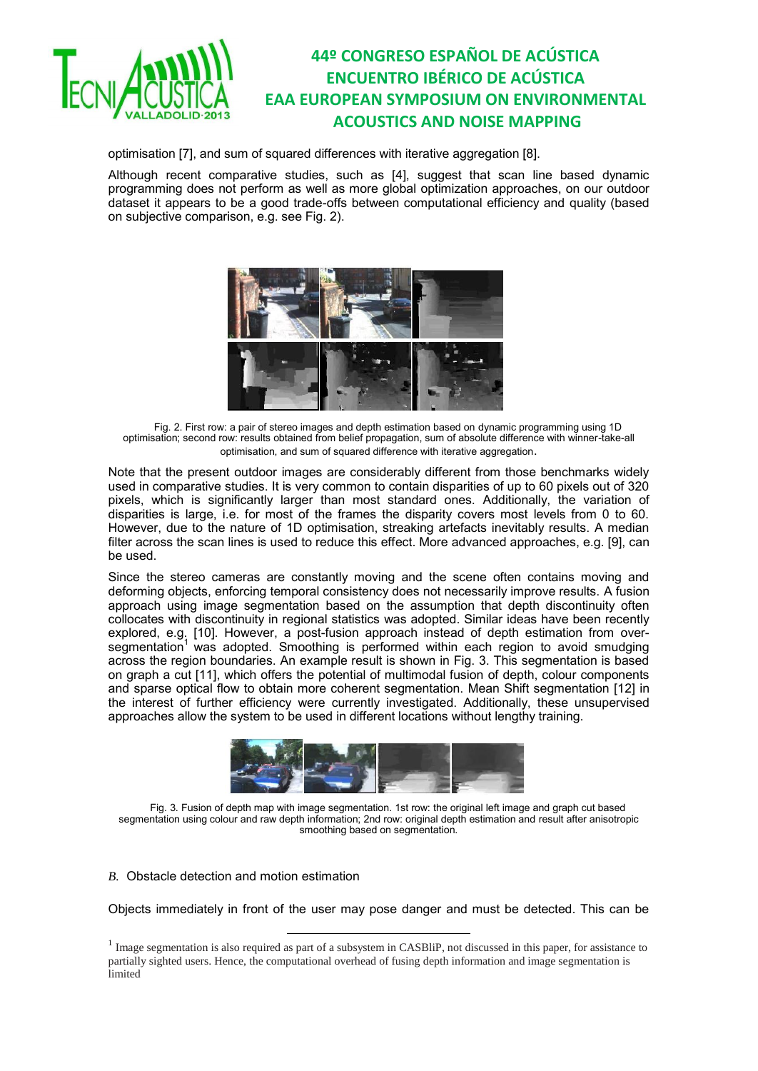

optimisation [7], and sum of squared differences with iterative aggregation [8].

Although recent comparative studies, such as [4], suggest that scan line based dynamic programming does not perform as well as more global optimization approaches, on our outdoor dataset it appears to be a good trade-offs between computational efficiency and quality (based on subjective comparison, e.g. see Fig. 2).



Fig. 2. First row: a pair of stereo images and depth estimation based on dynamic programming using 1D optimisation; second row: results obtained from belief propagation, sum of absolute difference with winner-take-all optimisation, and sum of squared difference with iterative aggregation.

Note that the present outdoor images are considerably different from those benchmarks widely used in comparative studies. It is very common to contain disparities of up to 60 pixels out of 320 pixels, which is significantly larger than most standard ones. Additionally, the variation of disparities is large, i.e. for most of the frames the disparity covers most levels from 0 to 60. However, due to the nature of 1D optimisation, streaking artefacts inevitably results. A median filter across the scan lines is used to reduce this effect. More advanced approaches, e.g. [9], can be used.

Since the stereo cameras are constantly moving and the scene often contains moving and deforming objects, enforcing temporal consistency does not necessarily improve results. A fusion approach using image segmentation based on the assumption that depth discontinuity often collocates with discontinuity in regional statistics was adopted. Similar ideas have been recently explored, e.g. [10]. However, a post-fusion approach instead of depth estimation from oversegmentation<sup>1</sup> was adopted. Smoothing is performed within each region to avoid smudging across the region boundaries. An example result is shown in Fig. 3. This segmentation is based on graph a cut [11], which offers the potential of multimodal fusion of depth, colour components and sparse optical flow to obtain more coherent segmentation. Mean Shift segmentation [12] in the interest of further efficiency were currently investigated. Additionally, these unsupervised approaches allow the system to be used in different locations without lengthy training.



Fig. 3. Fusion of depth map with image segmentation. 1st row: the original left image and graph cut based segmentation using colour and raw depth information; 2nd row: original depth estimation and result after anisotropic smoothing based on segmentation.

### *B.* Obstacle detection and motion estimation

 $\overline{a}$ 

Objects immediately in front of the user may pose danger and must be detected. This can be

<sup>&</sup>lt;sup>1</sup> Image segmentation is also required as part of a subsystem in CASBliP, not discussed in this paper, for assistance to partially sighted users. Hence, the computational overhead of fusing depth information and image segmentation is limited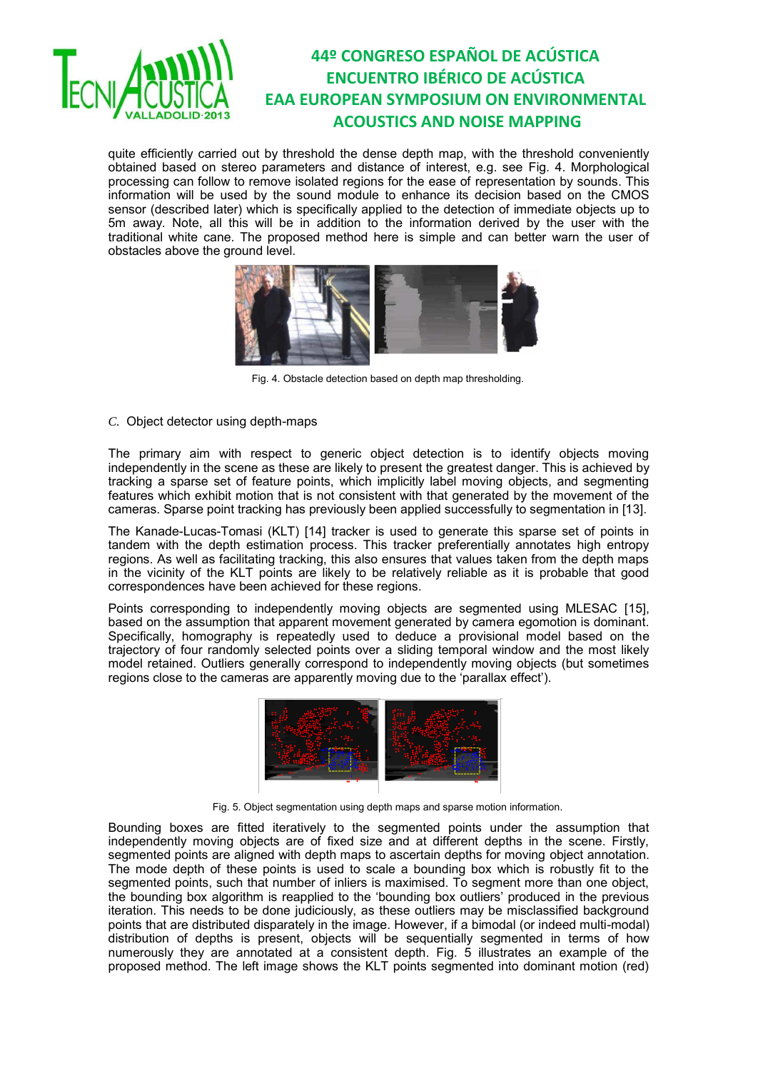

quite efficiently carried out by threshold the dense depth map, with the threshold conveniently obtained based on stereo parameters and distance of interest, e.g. see Fig. 4. Morphological processing can follow to remove isolated regions for the ease of representation by sounds. This information will be used by the sound module to enhance its decision based on the CMOS sensor (described later) which is specifically applied to the detection of immediate objects up to 5m away. Note, all this will be in addition to the information derived by the user with the traditional white cane. The proposed method here is simple and can better warn the user of obstacles above the ground level.



Fig. 4. Obstacle detection based on depth map thresholding.

*C.* Object detector using depth-maps

The primary aim with respect to generic object detection is to identify objects moving independently in the scene as these are likely to present the greatest danger. This is achieved by tracking a sparse set of feature points, which implicitly label moving objects, and segmenting features which exhibit motion that is not consistent with that generated by the movement of the cameras. Sparse point tracking has previously been applied successfully to segmentation in [13].

The Kanade-Lucas-Tomasi (KLT) [14] tracker is used to generate this sparse set of points in tandem with the depth estimation process. This tracker preferentially annotates high entropy regions. As well as facilitating tracking, this also ensures that values taken from the depth maps in the vicinity of the KLT points are likely to be relatively reliable as it is probable that good correspondences have been achieved for these regions.

Points corresponding to independently moving objects are segmented using MLESAC [15], based on the assumption that apparent movement generated by camera egomotion is dominant. Specifically, homography is repeatedly used to deduce a provisional model based on the trajectory of four randomly selected points over a sliding temporal window and the most likely model retained. Outliers generally correspond to independently moving objects (but sometimes regions close to the cameras are apparently moving due to the 'parallax effect').



Fig. 5. Object segmentation using depth maps and sparse motion information.

Bounding boxes are fitted iteratively to the segmented points under the assumption that independently moving objects are of fixed size and at different depths in the scene. Firstly, segmented points are aligned with depth maps to ascertain depths for moving object annotation. The mode depth of these points is used to scale a bounding box which is robustly fit to the segmented points, such that number of inliers is maximised. To segment more than one object, the bounding box algorithm is reapplied to the 'bounding box outliers' produced in the previous iteration. This needs to be done judiciously, as these outliers may be misclassified background points that are distributed disparately in the image. However, if a bimodal (or indeed multi-modal) distribution of depths is present, objects will be sequentially segmented in terms of how numerously they are annotated at a consistent depth. Fig. 5 illustrates an example of the proposed method. The left image shows the KLT points segmented into dominant motion (red)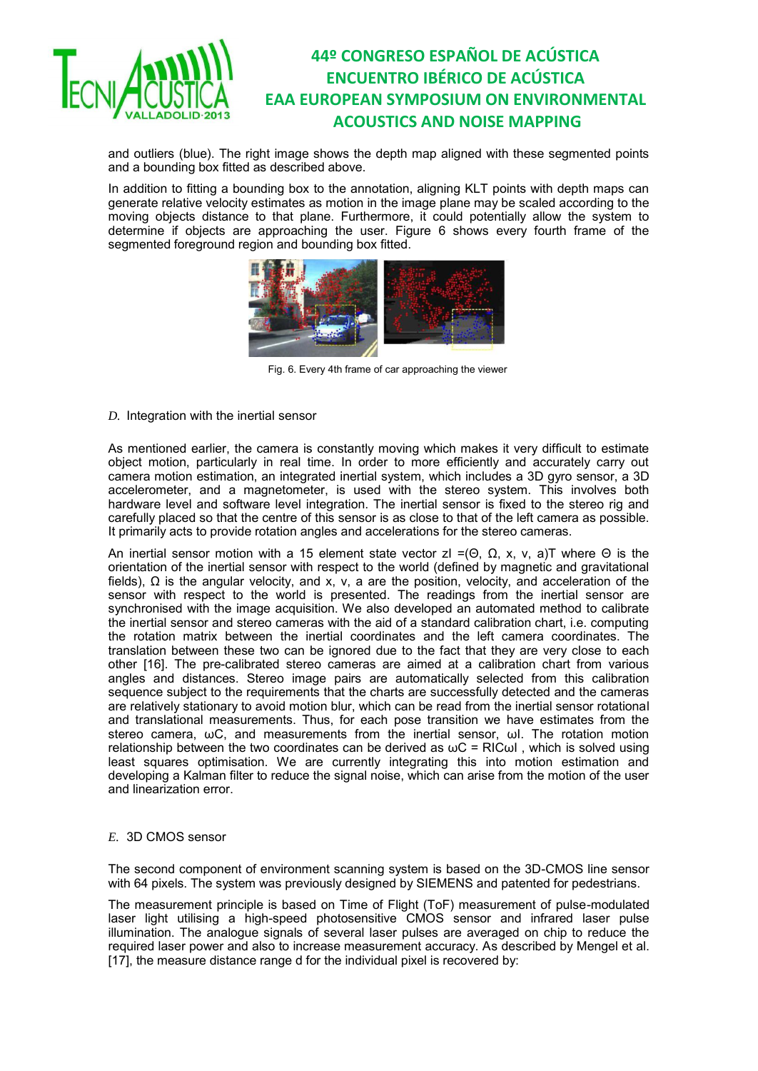

and outliers (blue). The right image shows the depth map aligned with these segmented points and a bounding box fitted as described above.

In addition to fitting a bounding box to the annotation, aligning KLT points with depth maps can generate relative velocity estimates as motion in the image plane may be scaled according to the moving objects distance to that plane. Furthermore, it could potentially allow the system to determine if objects are approaching the user. Figure 6 shows every fourth frame of the segmented foreground region and bounding box fitted.



Fig. 6. Every 4th frame of car approaching the viewer

### *D.* Integration with the inertial sensor

As mentioned earlier, the camera is constantly moving which makes it very difficult to estimate object motion, particularly in real time. In order to more efficiently and accurately carry out camera motion estimation, an integrated inertial system, which includes a 3D gyro sensor, a 3D accelerometer, and a magnetometer, is used with the stereo system. This involves both hardware level and software level integration. The inertial sensor is fixed to the stereo rig and carefully placed so that the centre of this sensor is as close to that of the left camera as possible. It primarily acts to provide rotation angles and accelerations for the stereo cameras.

An inertial sensor motion with a 15 element state vector zI =(Θ, Ω, x, v, a)T where Θ is the orientation of the inertial sensor with respect to the world (defined by magnetic and gravitational fields), Ω is the angular velocity, and x, v, a are the position, velocity, and acceleration of the sensor with respect to the world is presented. The readings from the inertial sensor are synchronised with the image acquisition. We also developed an automated method to calibrate the inertial sensor and stereo cameras with the aid of a standard calibration chart, i.e. computing the rotation matrix between the inertial coordinates and the left camera coordinates. The translation between these two can be ignored due to the fact that they are very close to each other [16]. The pre-calibrated stereo cameras are aimed at a calibration chart from various angles and distances. Stereo image pairs are automatically selected from this calibration sequence subject to the requirements that the charts are successfully detected and the cameras are relatively stationary to avoid motion blur, which can be read from the inertial sensor rotational and translational measurements. Thus, for each pose transition we have estimates from the stereo camera, ωC, and measurements from the inertial sensor, ωI. The rotation motion relationship between the two coordinates can be derived as  $\omega C$  = RIC $\omega$ I, which is solved using least squares optimisation. We are currently integrating this into motion estimation and developing a Kalman filter to reduce the signal noise, which can arise from the motion of the user and linearization error.

### *E.* 3D CMOS sensor

The second component of environment scanning system is based on the 3D-CMOS line sensor with 64 pixels. The system was previously designed by SIEMENS and patented for pedestrians.

The measurement principle is based on Time of Flight (ToF) measurement of pulse-modulated laser light utilising a high-speed photosensitive CMOS sensor and infrared laser pulse illumination. The analogue signals of several laser pulses are averaged on chip to reduce the required laser power and also to increase measurement accuracy. As described by Mengel et al. [17], the measure distance range d for the individual pixel is recovered by: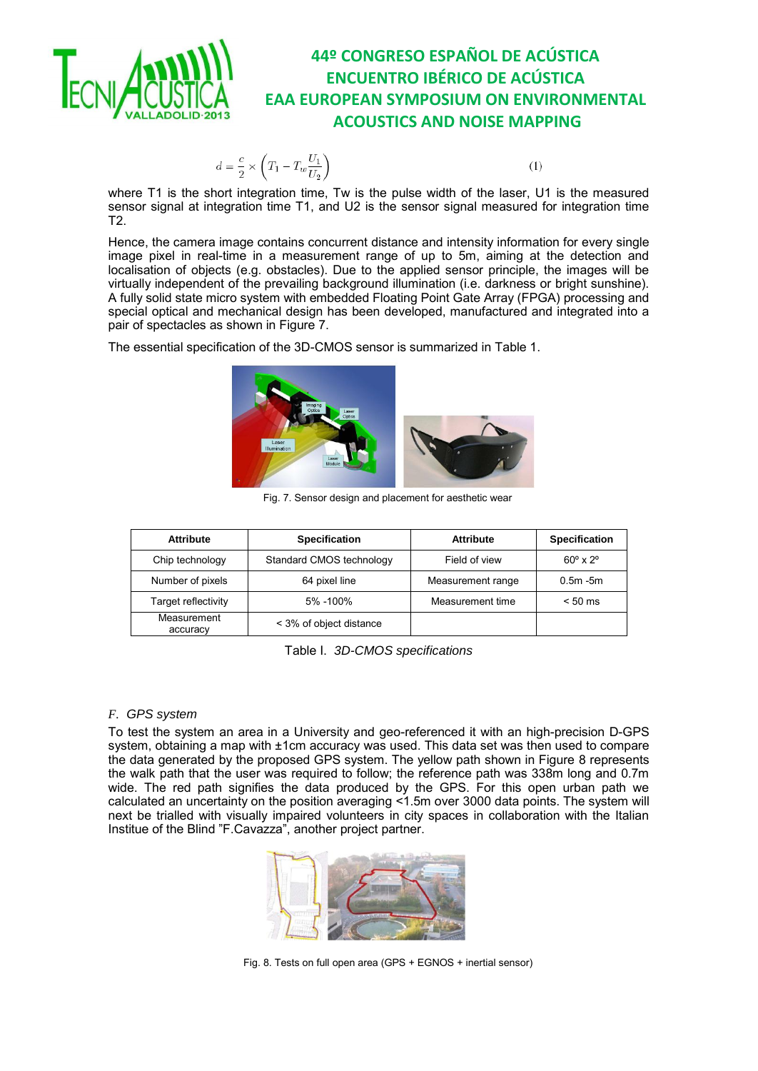

 $d = \frac{c}{2} \times \left(T_1 - T_w \frac{U_1}{U_2}\right)$ 

 $(1)$ 

where T1 is the short integration time, Tw is the pulse width of the laser, U1 is the measured sensor signal at integration time T1, and U2 is the sensor signal measured for integration time T2.

Hence, the camera image contains concurrent distance and intensity information for every single image pixel in real-time in a measurement range of up to 5m, aiming at the detection and localisation of objects (e.g. obstacles). Due to the applied sensor principle, the images will be virtually independent of the prevailing background illumination (i.e. darkness or bright sunshine). A fully solid state micro system with embedded Floating Point Gate Array (FPGA) processing and special optical and mechanical design has been developed, manufactured and integrated into a pair of spectacles as shown in Figure 7.

The essential specification of the 3D-CMOS sensor is summarized in Table 1.



Fig. 7. Sensor design and placement for aesthetic wear

| <b>Attribute</b>        | <b>Specification</b>     | <b>Attribute</b>  | <b>Specification</b>      |
|-------------------------|--------------------------|-------------------|---------------------------|
| Chip technology         | Standard CMOS technology | Field of view     | $60^\circ \times 2^\circ$ |
| Number of pixels        | 64 pixel line            | Measurement range | $0.5m - 5m$               |
| Target reflectivity     | 5% -100%                 | Measurement time  | $< 50$ ms                 |
| Measurement<br>accuracy | < 3% of object distance  |                   |                           |

Table I. *3D-CMOS specifications* 

### *F. GPS system*

To test the system an area in a University and geo-referenced it with an high-precision D-GPS system, obtaining a map with ±1cm accuracy was used. This data set was then used to compare the data generated by the proposed GPS system. The yellow path shown in Figure 8 represents the walk path that the user was required to follow; the reference path was 338m long and 0.7m wide. The red path signifies the data produced by the GPS. For this open urban path we calculated an uncertainty on the position averaging <1.5m over 3000 data points. The system will next be trialled with visually impaired volunteers in city spaces in collaboration with the Italian Institue of the Blind "F.Cavazza", another project partner.



Fig. 8. Tests on full open area (GPS + EGNOS + inertial sensor)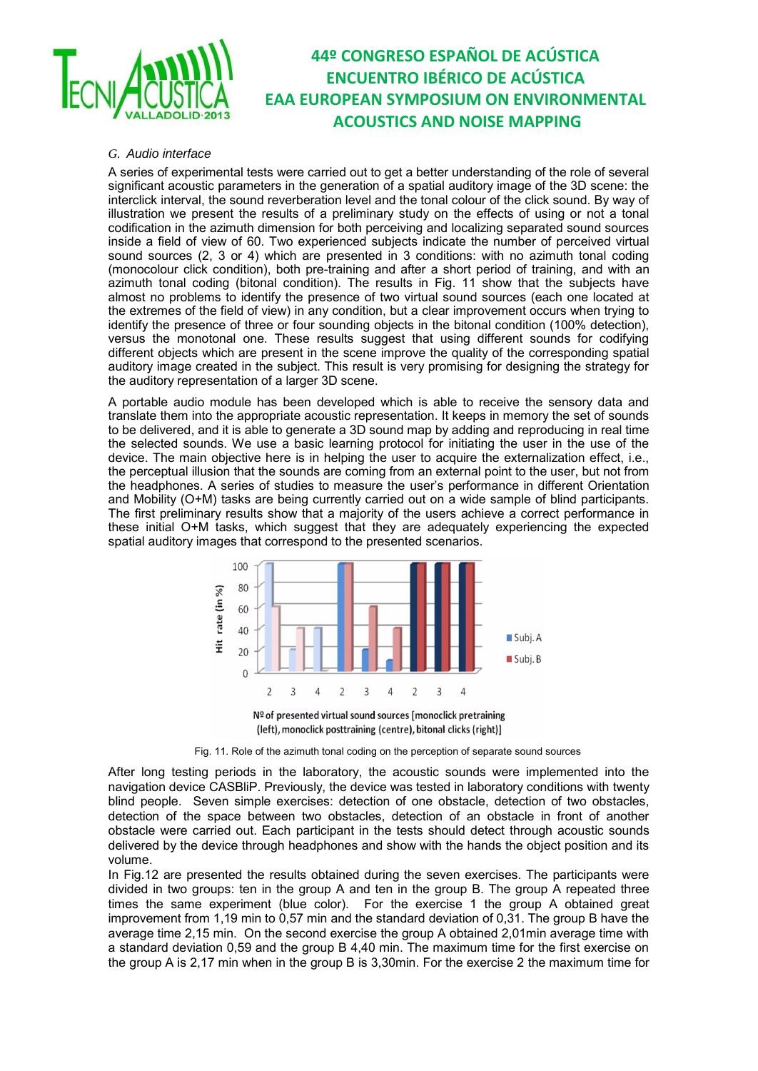

### *G. Audio interface*

A series of experimental tests were carried out to get a better understanding of the role of several significant acoustic parameters in the generation of a spatial auditory image of the 3D scene: the interclick interval, the sound reverberation level and the tonal colour of the click sound. By way of illustration we present the results of a preliminary study on the effects of using or not a tonal codification in the azimuth dimension for both perceiving and localizing separated sound sources inside a field of view of 60. Two experienced subjects indicate the number of perceived virtual sound sources (2, 3 or 4) which are presented in 3 conditions: with no azimuth tonal coding (monocolour click condition), both pre-training and after a short period of training, and with an azimuth tonal coding (bitonal condition). The results in Fig. 11 show that the subjects have almost no problems to identify the presence of two virtual sound sources (each one located at the extremes of the field of view) in any condition, but a clear improvement occurs when trying to identify the presence of three or four sounding objects in the bitonal condition (100% detection), versus the monotonal one. These results suggest that using different sounds for codifying different objects which are present in the scene improve the quality of the corresponding spatial auditory image created in the subject. This result is very promising for designing the strategy for the auditory representation of a larger 3D scene.

A portable audio module has been developed which is able to receive the sensory data and translate them into the appropriate acoustic representation. It keeps in memory the set of sounds to be delivered, and it is able to generate a 3D sound map by adding and reproducing in real time the selected sounds. We use a basic learning protocol for initiating the user in the use of the device. The main objective here is in helping the user to acquire the externalization effect, i.e., the perceptual illusion that the sounds are coming from an external point to the user, but not from the headphones. A series of studies to measure the user's performance in different Orientation and Mobility (O+M) tasks are being currently carried out on a wide sample of blind participants. The first preliminary results show that a majority of the users achieve a correct performance in these initial O+M tasks, which suggest that they are adequately experiencing the expected spatial auditory images that correspond to the presented scenarios.



(left), monoclick posttraining (centre), bitonal clicks (right)]

Fig. 11. Role of the azimuth tonal coding on the perception of separate sound sources

After long testing periods in the laboratory, the acoustic sounds were implemented into the navigation device CASBliP. Previously, the device was tested in laboratory conditions with twenty blind people. Seven simple exercises: detection of one obstacle, detection of two obstacles, detection of the space between two obstacles, detection of an obstacle in front of another obstacle were carried out. Each participant in the tests should detect through acoustic sounds delivered by the device through headphones and show with the hands the object position and its volume.

In Fig.12 are presented the results obtained during the seven exercises. The participants were divided in two groups: ten in the group A and ten in the group B. The group A repeated three times the same experiment (blue color). For the exercise 1 the group A obtained great improvement from 1,19 min to 0,57 min and the standard deviation of 0,31. The group B have the average time 2,15 min. On the second exercise the group A obtained 2,01min average time with a standard deviation 0,59 and the group B 4,40 min. The maximum time for the first exercise on the group A is 2,17 min when in the group B is 3,30min. For the exercise 2 the maximum time for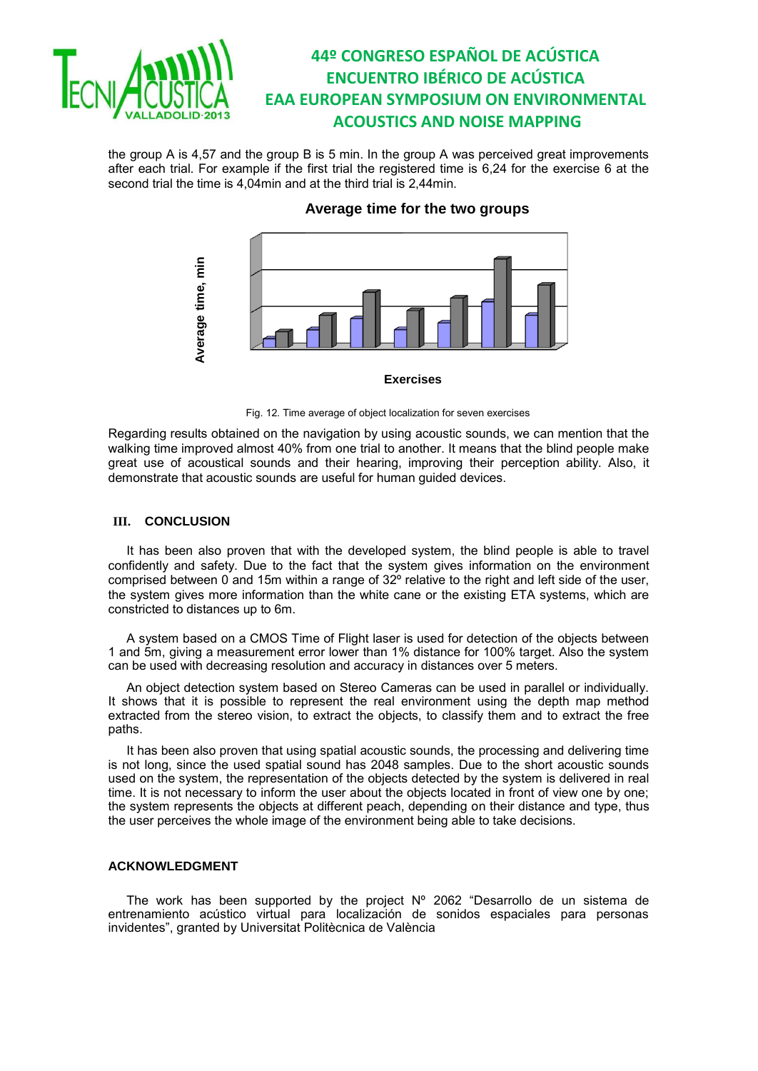

the group A is 4,57 and the group B is 5 min. In the group A was perceived great improvements after each trial. For example if the first trial the registered time is 6,24 for the exercise 6 at the second trial the time is 4,04min and at the third trial is 2,44min.

### **Average time for the two groups**



#### **Exercises**

#### Fig. 12. Time average of object localization for seven exercises

Regarding results obtained on the navigation by using acoustic sounds, we can mention that the walking time improved almost 40% from one trial to another. It means that the blind people make great use of acoustical sounds and their hearing, improving their perception ability. Also, it demonstrate that acoustic sounds are useful for human guided devices.

### **III. CONCLUSION**

It has been also proven that with the developed system, the blind people is able to travel confidently and safety. Due to the fact that the system gives information on the environment comprised between 0 and 15m within a range of  $32^{\circ}$  relative to the right and left side of the user, the system gives more information than the white cane or the existing ETA systems, which are constricted to distances up to 6m.

A system based on a CMOS Time of Flight laser is used for detection of the objects between 1 and 5m, giving a measurement error lower than 1% distance for 100% target. Also the system can be used with decreasing resolution and accuracy in distances over 5 meters.

An object detection system based on Stereo Cameras can be used in parallel or individually. It shows that it is possible to represent the real environment using the depth map method extracted from the stereo vision, to extract the objects, to classify them and to extract the free paths.

It has been also proven that using spatial acoustic sounds, the processing and delivering time is not long, since the used spatial sound has 2048 samples. Due to the short acoustic sounds used on the system, the representation of the objects detected by the system is delivered in real time. It is not necessary to inform the user about the objects located in front of view one by one; the system represents the objects at different peach, depending on their distance and type, thus the user perceives the whole image of the environment being able to take decisions.

### **ACKNOWLEDGMENT**

The work has been supported by the project Nº 2062 "Desarrollo de un sistema de entrenamiento acústico virtual para localización de sonidos espaciales para personas